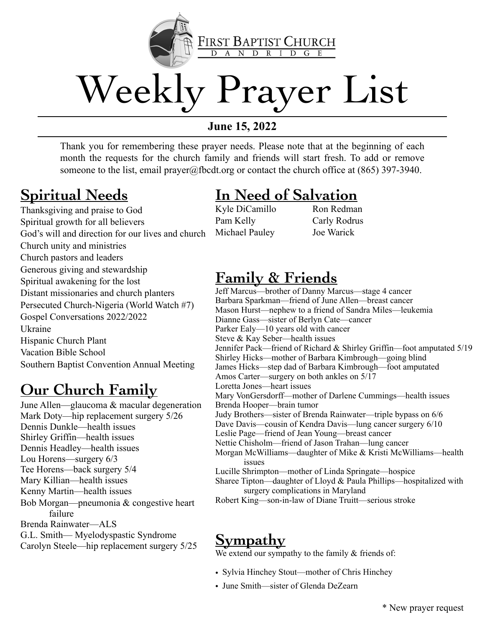

# Weekly Prayer List

### **June 15, 2022**

Thank you for remembering these prayer needs. Please note that at the beginning of each month the requests for the church family and friends will start fresh. To add or remove someone to the list, email prayer@fbcdt.org or contact the church office at (865) 397-3940.

### **Spiritual Needs**

Thanksgiving and praise to God Spiritual growth for all believers God's will and direction for our lives and church Church unity and ministries Church pastors and leaders Generous giving and stewardship Spiritual awakening for the lost Distant missionaries and church planters Persecuted Church-Nigeria (World Watch #7) Gospel Conversations 2022/2022 Ukraine Hispanic Church Plant Vacation Bible School Southern Baptist Convention Annual Meeting

### **Our Church Family**

June Allen—glaucoma & macular degeneration Mark Doty—hip replacement surgery 5/26 Dennis Dunkle—health issues Shirley Griffin—health issues Dennis Headley—health issues Lou Horens—surgery 6/3 Tee Horens—back surgery 5/4 Mary Killian—health issues Kenny Martin—health issues Bob Morgan—pneumonia & congestive heart failure Brenda Rainwater—ALS G.L. Smith— Myelodyspastic Syndrome Carolyn Steele—hip replacement surgery 5/25

### **In Need of Salvation**

Kyle DiCamillo Pam Kelly Michael Pauley

Ron Redman Carly Rodrus Joe Warick

### **Family & Friends**

Jeff Marcus—brother of Danny Marcus—stage 4 cancer Barbara Sparkman—friend of June Allen—breast cancer Mason Hurst—nephew to a friend of Sandra Miles—leukemia Dianne Gass—sister of Berlyn Cate—cancer Parker Ealy—10 years old with cancer Steve & Kay Seber—health issues Jennifer Pack—friend of Richard & Shirley Griffin—foot amputated 5/19 Shirley Hicks—mother of Barbara Kimbrough—going blind James Hicks—step dad of Barbara Kimbrough—foot amputated Amos Carter—surgery on both ankles on 5/17 Loretta Jones—heart issues Mary VonGersdorff—mother of Darlene Cummings—health issues Brenda Hooper—brain tumor Judy Brothers—sister of Brenda Rainwater—triple bypass on 6/6 Dave Davis—cousin of Kendra Davis—lung cancer surgery 6/10 Leslie Page—friend of Jean Young—breast cancer Nettie Chisholm—friend of Jason Trahan—lung cancer Morgan McWilliams—daughter of Mike & Kristi McWilliams—health issues Lucille Shrimpton—mother of Linda Springate—hospice Sharee Tipton—daughter of Lloyd & Paula Phillips—hospitalized with surgery complications in Maryland Robert King—son-in-law of Diane Truitt—serious stroke

### **Sympathy**

We extend our sympathy to the family  $&$  friends of:

- Sylvia Hinchey Stout—mother of Chris Hinchey
- June Smith—sister of Glenda DeZearn